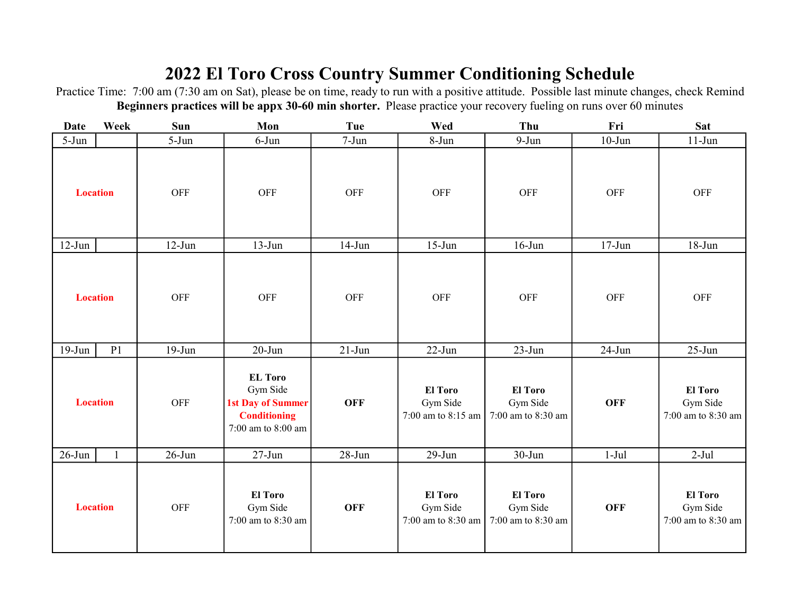## 2022 El Toro Cross Country Summer Conditioning Schedule

Practice Time: 7:00 am (7:30 am on Sat), please be on time, ready to run with a positive attitude. Possible last minute changes, check Remind Beginners practices will be appx 30-60 min shorter. Please practice your recovery fueling on runs over 60 minutes

| <b>Date</b>     | Week           | Sun        | Mon                                                                                                 | Tue        | Wed                                              | Thu                                              | Fri        | <b>Sat</b>                                       |
|-----------------|----------------|------------|-----------------------------------------------------------------------------------------------------|------------|--------------------------------------------------|--------------------------------------------------|------------|--------------------------------------------------|
| $5-Jun$         |                | $5-Jun$    | $6$ -Jun                                                                                            | $7-Jun$    | $8-Jun$                                          | $9-Jun$                                          | $10$ -Jun  | $11-Jun$                                         |
| <b>Location</b> |                | <b>OFF</b> | OFF                                                                                                 | <b>OFF</b> | <b>OFF</b>                                       | OFF                                              | OFF        | OFF                                              |
| $12-Jun$        |                | $12-Jun$   | $13-Jun$                                                                                            | $14$ -Jun  | $15-Jun$                                         | $16$ -Jun                                        | $17 - Jun$ | $18 - Jun$                                       |
| <b>Location</b> |                | OFF        | <b>OFF</b>                                                                                          | OFF        | <b>OFF</b>                                       | <b>OFF</b>                                       | OFF        | <b>OFF</b>                                       |
| $19-Jun$        | P <sub>1</sub> | $19-Jun$   | $20 - Jun$                                                                                          | $21-Jun$   | $22$ -Jun                                        | $23-Jun$                                         | $24$ -Jun  | $25$ -Jun                                        |
| <b>Location</b> |                | <b>OFF</b> | <b>EL</b> Toro<br>Gym Side<br><b>1st Day of Summer</b><br><b>Conditioning</b><br>7:00 am to 8:00 am | <b>OFF</b> | El Toro<br>Gym Side<br>7:00 am to 8:15 am        | <b>El Toro</b><br>Gym Side<br>7:00 am to 8:30 am | <b>OFF</b> | El Toro<br>Gym Side<br>7:00 am to 8:30 am        |
| $26$ -Jun       | 1              | $26$ -Jun  | $27 - Jun$                                                                                          | $28 - Jun$ | $29-Jun$                                         | 30-Jun                                           | $1-Jul$    | $2-Jul$                                          |
| <b>Location</b> |                | OFF        | <b>El Toro</b><br>Gym Side<br>7:00 am to 8:30 am                                                    | <b>OFF</b> | <b>El Toro</b><br>Gym Side<br>7:00 am to 8:30 am | <b>El Toro</b><br>Gym Side<br>7:00 am to 8:30 am | <b>OFF</b> | <b>El Toro</b><br>Gym Side<br>7:00 am to 8:30 am |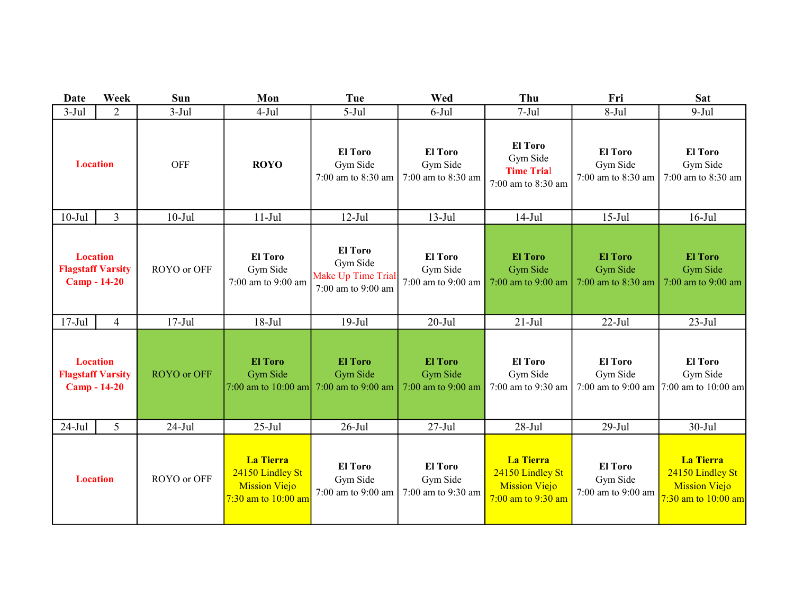| Date                                                               | Week           | Sun                | Mon                                                                                     | Tue                                                                    | Wed                                              | Thu                                                                                | Fri                                              | <b>Sat</b>                                                                              |
|--------------------------------------------------------------------|----------------|--------------------|-----------------------------------------------------------------------------------------|------------------------------------------------------------------------|--------------------------------------------------|------------------------------------------------------------------------------------|--------------------------------------------------|-----------------------------------------------------------------------------------------|
| $3-Jul$                                                            | $\overline{2}$ | $3-Jul$            | $4-Jul$                                                                                 | $5-Jul$                                                                | $6$ -Jul                                         | $7-Jul$                                                                            | $8-Jul$                                          | $9-Jul$                                                                                 |
| <b>Location</b>                                                    |                | <b>OFF</b>         | <b>ROYO</b>                                                                             | <b>El Toro</b><br>Gym Side<br>7:00 am to 8:30 am                       | <b>El Toro</b><br>Gym Side<br>7:00 am to 8:30 am | <b>El Toro</b><br>Gym Side<br><b>Time Trial</b><br>7:00 am to 8:30 am              | <b>El Toro</b><br>Gym Side<br>7:00 am to 8:30 am | <b>El Toro</b><br>Gym Side<br>7:00 am to 8:30 am                                        |
| $10-Jul$                                                           | $\overline{3}$ | $10-Jul$           | $11-Jul$                                                                                | $12-Jul$                                                               | $13-Jul$                                         | $14-Jul$                                                                           | $15$ -Jul                                        | $16$ -Jul                                                                               |
| <b>Location</b><br><b>Flagstaff Varsity</b><br><b>Camp - 14-20</b> |                | ROYO or OFF        | <b>El Toro</b><br>Gym Side<br>7:00 am to 9:00 am                                        | <b>El Toro</b><br>Gym Side<br>Make Up Time Trial<br>7:00 am to 9:00 am | <b>El Toro</b><br>Gym Side<br>7:00 am to 9:00 am | <b>El Toro</b><br>Gym Side<br>7:00 am to 9:00 am                                   | <b>El Toro</b><br>Gym Side<br>7:00 am to 8:30 am | <b>El Toro</b><br><b>Gym Side</b><br>7:00 am to 9:00 am                                 |
| $17-Jul$                                                           | $\overline{4}$ | $17-Jul$           | $18-Jul$                                                                                | $19-Jul$                                                               | $20 -$ Jul                                       | $21-Jul$                                                                           | $22$ -Jul                                        | $23-Jul$                                                                                |
| <b>Location</b><br><b>Flagstaff Varsity</b><br><b>Camp - 14-20</b> |                | <b>ROYO</b> or OFF | <b>El Toro</b><br>Gym Side<br>7:00 am to $10:00$ am                                     | <b>El Toro</b><br><b>Gym Side</b><br>$7:00$ am to $9:00$ am            | <b>El Toro</b><br>Gym Side<br>7:00 am to 9:00 am | <b>El Toro</b><br>Gym Side<br>7:00 am to 9:30 am                                   | <b>El Toro</b><br>Gym Side<br>7:00 am to 9:00 am | <b>El Toro</b><br>Gym Side<br>7:00 am to 10:00 am                                       |
| $24-Jul$                                                           | 5              | $24-Jul$           | $25$ -Jul                                                                               | $26$ -Jul                                                              | $27 -$ Jul                                       | $28-Jul$                                                                           | $29-Jul$                                         | $30-Jul$                                                                                |
| <b>Location</b>                                                    |                | ROYO or OFF        | <b>La Tierra</b><br>24150 Lindley St<br><b>Mission Viejo</b><br>$7:30$ am to $10:00$ am | <b>El Toro</b><br>Gym Side<br>7:00 am to 9:00 am                       | <b>El Toro</b><br>Gym Side<br>7:00 am to 9:30 am | <b>La Tierra</b><br>24150 Lindley St<br><b>Mission Viejo</b><br>7:00 am to 9:30 am | <b>El Toro</b><br>Gym Side<br>7:00 am to 9:00 am | <b>La Tierra</b><br>24150 Lindley St<br><b>Mission Viejo</b><br>$7:30$ am to $10:00$ am |